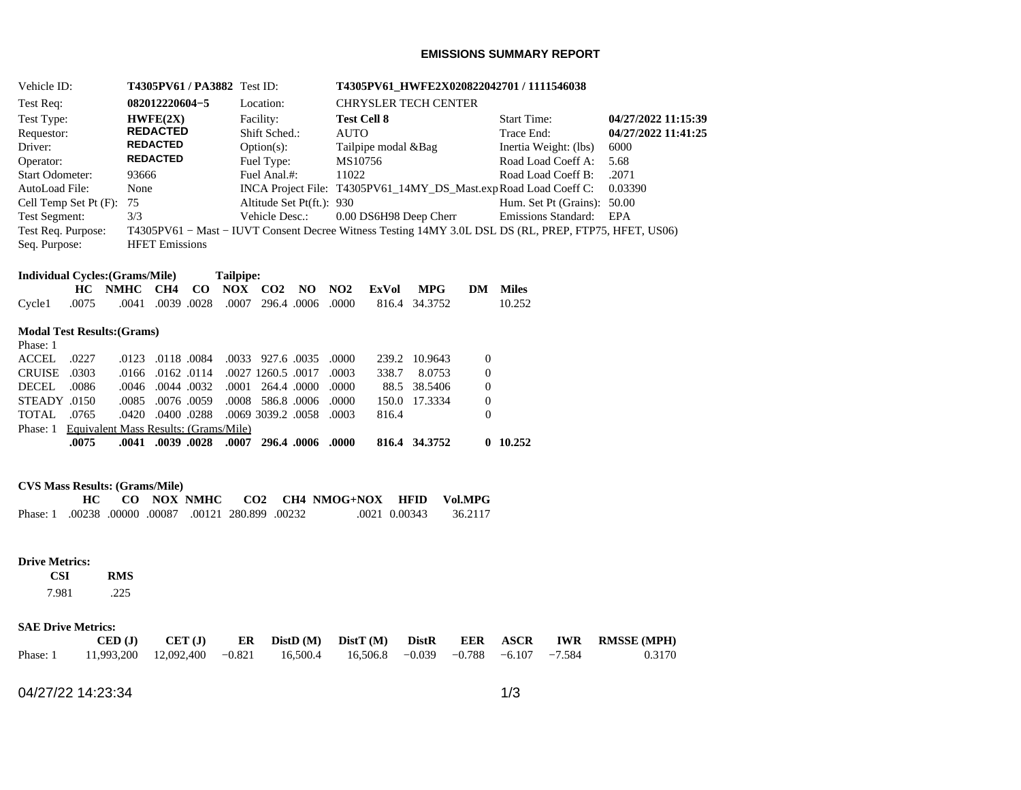### **EMISSIONS SUMMARY REPORT**

| Vehicle ID:                 | <b>T4305PV61/PA3882</b> Test ID: |                           | T4305PV61 HWFE2X020822042701 / 1111546038                                                             |                             |                     |
|-----------------------------|----------------------------------|---------------------------|-------------------------------------------------------------------------------------------------------|-----------------------------|---------------------|
| Test Req:                   | 082012220604-5                   | Location:                 | <b>CHRYSLER TECH CENTER</b>                                                                           |                             |                     |
| Test Type:                  | HWFE(2X)                         | Facility:                 | <b>Test Cell 8</b>                                                                                    | <b>Start Time:</b>          | 04/27/2022 11:15:39 |
| Requestor:                  | <b>REDACTED</b>                  | Shift Sched.:             | <b>AUTO</b>                                                                                           | Trace End:                  | 04/27/2022 11:41:25 |
| Driver:                     | <b>REDACTED</b>                  | $Option(s)$ :             | Tailpipe modal & Bag                                                                                  | Inertia Weight: (lbs)       | 6000                |
| Operator:                   | <b>REDACTED</b>                  | Fuel Type:                | MS10756                                                                                               | Road Load Coeff A:          | 5.68                |
| <b>Start Odometer:</b>      | 93666                            | Fuel Anal.#:              | 11022                                                                                                 | Road Load Coeff B:          | .2071               |
| AutoLoad File:              | None                             |                           | INCA Project File: T4305PV61_14MY_DS_Mast.expRoad Load Coeff C:                                       |                             | 0.03390             |
| Cell Temp Set Pt $(F)$ : 75 |                                  | Altitude Set Pt(ft.): 930 |                                                                                                       | Hum. Set Pt (Grains): 50.00 |                     |
| <b>Test Segment:</b>        | 3/3                              | Vehicle Desc.:            | 0.00 DS6H98 Deep Cherr                                                                                | <b>Emissions Standard:</b>  | EPA                 |
| Test Req. Purpose:          |                                  |                           | T4305PV61 – Mast – IUVT Consent Decree Witness Testing 14MY 3.0L DSL DS (RL, PREP, FTP75, HFET, US06) |                             |                     |
| Seq. Purpose:               | <b>HFET</b> Emissions            |                           |                                                                                                       |                             |                     |

| <b>Individual Cycles: (Grams/Mile)</b> | <b>Tailpipe:</b> |  |
|----------------------------------------|------------------|--|
|----------------------------------------|------------------|--|

|  |                                                                      |  |  |  | HC NMHC CH4 CO NOX CO2 NO NO2 ExVol MPG DM Miles |        |
|--|----------------------------------------------------------------------|--|--|--|--------------------------------------------------|--------|
|  | Cycle1 .0075 .0041 .0039 .0028 .0007 296.4 .0006 .0000 816.4 34.3752 |  |  |  |                                                  | 10.252 |

## **Modal Test Results:(Grams)**

|                                                | .0075 |  |                   | .0000. 0000. 0.028 0.007 0.009. 0.000. 0.000.    |  |       | 816.4 34.3752 |          | 10.252 |
|------------------------------------------------|-------|--|-------------------|--------------------------------------------------|--|-------|---------------|----------|--------|
| Phase: 1 Equivalent Mass Results: (Grams/Mile) |       |  |                   |                                                  |  |       |               |          |        |
| TOTAL 0765                                     |       |  |                   | .0003 .0420 .0400 .0288 .0069 .039.2 .0058 .0420 |  | 816.4 |               | $\Omega$ |        |
| STEADY 0150                                    |       |  |                   | .0000 .0076 .0059 .0008 .0008 .0000 .0000        |  |       | 150.0 17.3334 | $\Omega$ |        |
| DECEL .0086                                    |       |  |                   | .0000 .0000 .0044 .0032 .0001 .0044 .0000 .0046  |  |       | 88.5 38.5406  | $\Omega$ |        |
| CRUISE 0303                                    |       |  |                   | .0003 0.017 0.0027 1260.5 0.017 0.003            |  |       | 338.7 8.0753  | $\Omega$ |        |
| ACCEL 0227                                     |       |  | .0123 .0118 .0084 | .0033 927.6 .0035 .0000                          |  |       | 239.2 10.9643 | $\Omega$ |        |
| Phase: 1                                       |       |  |                   |                                                  |  |       |               |          |        |
|                                                |       |  |                   |                                                  |  |       |               |          |        |

# **CVS Mass Results: (Grams/Mile)**

|                                                |  |  |  | CO NOX NMHC CO2 CH4 NMOG+NOX HFID Vol.MPG |               |         |
|------------------------------------------------|--|--|--|-------------------------------------------|---------------|---------|
| Phase: 1.00238.00000.00087.00121.280.899.00232 |  |  |  |                                           | .0021 0.00343 | 36.2117 |

#### **Drive Metrics:**

 **CSI RMS**  7.981  $.225$ 

#### **SAE Drive Metrics:**

|                                                                                     | $\text{CED}(\text{J})$ $\text{CET}(\text{J})$ |  |  |  | ER DistD (M) DistT (M) DistR EER ASCR IWR RMSSE (MPH) |
|-------------------------------------------------------------------------------------|-----------------------------------------------|--|--|--|-------------------------------------------------------|
| Phase: 1 11,993,200 12,092,400 -0.821 16,500.4 16,506.8 -0.039 -0.788 -6.107 -7.584 |                                               |  |  |  | 0.3170                                                |

04/27/22 14:23:34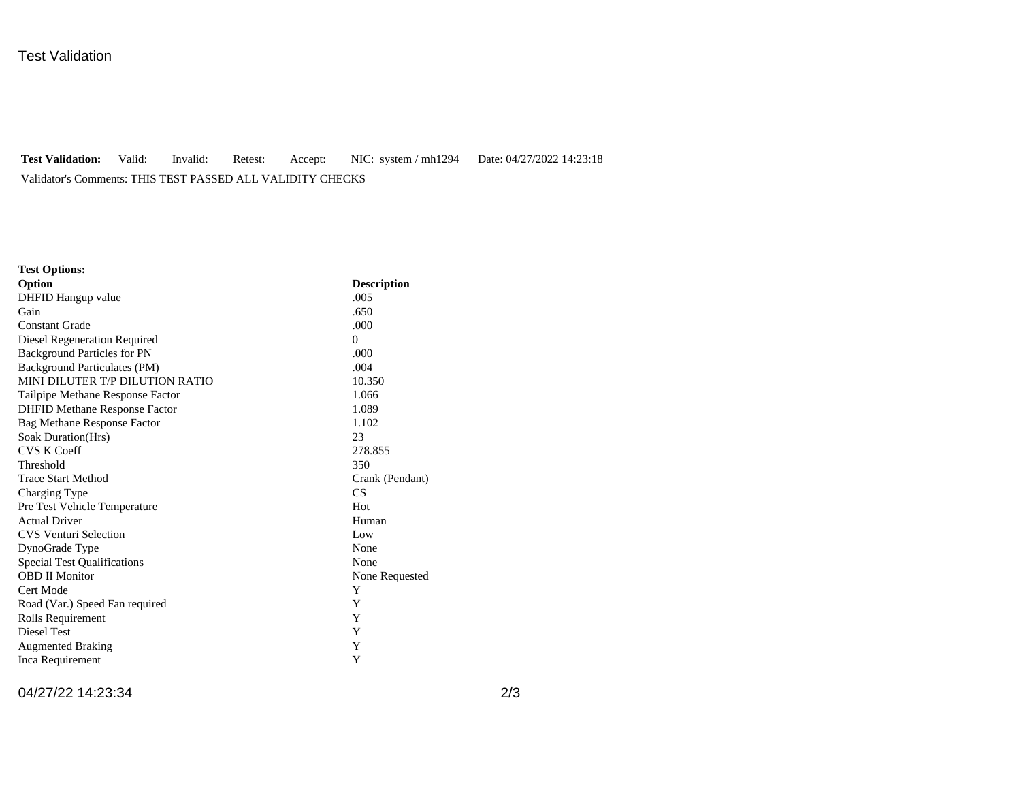# Test Validation

# **Test Validation:** Valid: Invalid: Retest: Accept: NIC: system / mh1294 Date: 04/27/2022 14:23:18 Validator's Comments: THIS TEST PASSED ALL VALIDITY CHECKS

| <b>Test Options:</b>                 |                    |
|--------------------------------------|--------------------|
| Option                               | <b>Description</b> |
| DHFID Hangup value                   | .005               |
| Gain                                 | .650               |
| <b>Constant Grade</b>                | .000               |
| Diesel Regeneration Required         | $\Omega$           |
| <b>Background Particles for PN</b>   | .000               |
| <b>Background Particulates (PM)</b>  | .004               |
| MINI DILUTER T/P DILUTION RATIO      | 10.350             |
| Tailpipe Methane Response Factor     | 1.066              |
| <b>DHFID Methane Response Factor</b> | 1.089              |
| <b>Bag Methane Response Factor</b>   | 1.102              |
| Soak Duration(Hrs)                   | 23                 |
| <b>CVS K Coeff</b>                   | 278.855            |
| Threshold                            | 350                |
| <b>Trace Start Method</b>            | Crank (Pendant)    |
| Charging Type                        | CS.                |
| Pre Test Vehicle Temperature         | Hot                |
| <b>Actual Driver</b>                 | Human              |
| <b>CVS Venturi Selection</b>         | Low                |
| DynoGrade Type                       | None               |
| <b>Special Test Qualifications</b>   | None               |
| <b>OBD II Monitor</b>                | None Requested     |
| Cert Mode                            | Y                  |
| Road (Var.) Speed Fan required       | Y                  |
| Rolls Requirement                    | Y                  |
| Diesel Test                          | Y                  |
| <b>Augmented Braking</b>             | Y                  |
| Inca Requirement                     | Y                  |

04/27/22 14:23:34 2/3